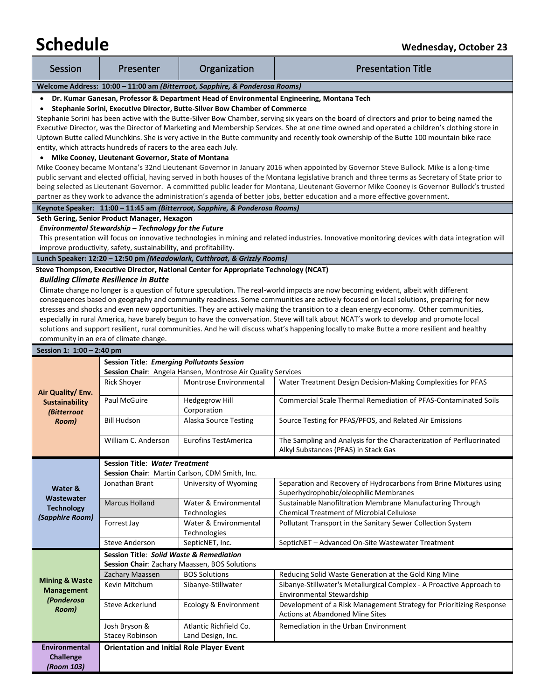# **Schedule** *Wednesday, October 23*

| Session                                                                                 | Presenter                                                                                 | Organization                                                                          | <b>Presentation Title</b>                                                                                                                                                                                                                                                                |  |  |
|-----------------------------------------------------------------------------------------|-------------------------------------------------------------------------------------------|---------------------------------------------------------------------------------------|------------------------------------------------------------------------------------------------------------------------------------------------------------------------------------------------------------------------------------------------------------------------------------------|--|--|
| Welcome Address: 10:00 - 11:00 am (Bitterroot, Sapphire, & Ponderosa Rooms)             |                                                                                           |                                                                                       |                                                                                                                                                                                                                                                                                          |  |  |
|                                                                                         | Dr. Kumar Ganesan, Professor & Department Head of Environmental Engineering, Montana Tech |                                                                                       |                                                                                                                                                                                                                                                                                          |  |  |
| Stephanie Sorini, Executive Director, Butte-Silver Bow Chamber of Commerce<br>$\bullet$ |                                                                                           |                                                                                       |                                                                                                                                                                                                                                                                                          |  |  |
|                                                                                         |                                                                                           |                                                                                       | Stephanie Sorini has been active with the Butte-Silver Bow Chamber, serving six years on the board of directors and prior to being named the                                                                                                                                             |  |  |
|                                                                                         |                                                                                           |                                                                                       | Executive Director, was the Director of Marketing and Membership Services. She at one time owned and operated a children's clothing store in<br>Uptown Butte called Munchkins. She is very active in the Butte community and recently took ownership of the Butte 100 mountain bike race |  |  |
|                                                                                         | entity, which attracts hundreds of racers to the area each July.                          |                                                                                       |                                                                                                                                                                                                                                                                                          |  |  |
|                                                                                         | • Mike Cooney, Lieutenant Governor, State of Montana                                      |                                                                                       |                                                                                                                                                                                                                                                                                          |  |  |
|                                                                                         |                                                                                           |                                                                                       | Mike Cooney became Montana's 32nd Lieutenant Governor in January 2016 when appointed by Governor Steve Bullock. Mike is a long-time                                                                                                                                                      |  |  |
|                                                                                         |                                                                                           |                                                                                       | public servant and elected official, having served in both houses of the Montana legislative branch and three terms as Secretary of State prior to                                                                                                                                       |  |  |
|                                                                                         |                                                                                           |                                                                                       | being selected as Lieutenant Governor. A committed public leader for Montana, Lieutenant Governor Mike Cooney is Governor Bullock's trusted                                                                                                                                              |  |  |
|                                                                                         |                                                                                           |                                                                                       | partner as they work to advance the administration's agenda of better jobs, better education and a more effective government.                                                                                                                                                            |  |  |
|                                                                                         |                                                                                           | Keynote Speaker: 11:00 - 11:45 am (Bitterroot, Sapphire, & Ponderosa Rooms)           |                                                                                                                                                                                                                                                                                          |  |  |
|                                                                                         | Seth Gering, Senior Product Manager, Hexagon                                              |                                                                                       |                                                                                                                                                                                                                                                                                          |  |  |
|                                                                                         | Environmental Stewardship - Technology for the Future                                     |                                                                                       |                                                                                                                                                                                                                                                                                          |  |  |
|                                                                                         |                                                                                           |                                                                                       | This presentation will focus on innovative technologies in mining and related industries. Innovative monitoring devices with data integration will                                                                                                                                       |  |  |
|                                                                                         | improve productivity, safety, sustainability, and profitability.                          |                                                                                       |                                                                                                                                                                                                                                                                                          |  |  |
|                                                                                         |                                                                                           | Lunch Speaker: 12:20 - 12:50 pm (Meadowlark, Cutthroat, & Grizzly Rooms)              |                                                                                                                                                                                                                                                                                          |  |  |
|                                                                                         |                                                                                           | Steve Thompson, Executive Director, National Center for Appropriate Technology (NCAT) |                                                                                                                                                                                                                                                                                          |  |  |
|                                                                                         | <b>Building Climate Resilience in Butte</b>                                               |                                                                                       | Climate change no longer is a question of future speculation. The real-world impacts are now becoming evident, albeit with different                                                                                                                                                     |  |  |
|                                                                                         |                                                                                           |                                                                                       | consequences based on geography and community readiness. Some communities are actively focused on local solutions, preparing for new                                                                                                                                                     |  |  |
|                                                                                         |                                                                                           |                                                                                       | stresses and shocks and even new opportunities. They are actively making the transition to a clean energy economy. Other communities,                                                                                                                                                    |  |  |
|                                                                                         |                                                                                           |                                                                                       | especially in rural America, have barely begun to have the conversation. Steve will talk about NCAT's work to develop and promote local                                                                                                                                                  |  |  |
|                                                                                         |                                                                                           |                                                                                       | solutions and support resilient, rural communities. And he will discuss what's happening locally to make Butte a more resilient and healthy                                                                                                                                              |  |  |
|                                                                                         | community in an era of climate change.                                                    |                                                                                       |                                                                                                                                                                                                                                                                                          |  |  |
| Session 1: 1:00 - 2:40 pm                                                               |                                                                                           |                                                                                       |                                                                                                                                                                                                                                                                                          |  |  |
| <b>Session Title: Emerging Pollutants Session</b>                                       |                                                                                           |                                                                                       |                                                                                                                                                                                                                                                                                          |  |  |
|                                                                                         |                                                                                           | Session Chair: Angela Hansen, Montrose Air Quality Services                           |                                                                                                                                                                                                                                                                                          |  |  |
|                                                                                         | <b>Rick Shoyer</b>                                                                        | Montrose Environmental                                                                | Water Treatment Design Decision-Making Complexities for PFAS                                                                                                                                                                                                                             |  |  |
| Air Quality/ Env.<br><b>Sustainability</b>                                              | Paul McGuire                                                                              | <b>Hedgegrow Hill</b>                                                                 | <b>Commercial Scale Thermal Remediation of PFAS-Contaminated Soils</b>                                                                                                                                                                                                                   |  |  |
| (Bitterroot                                                                             |                                                                                           | Corporation                                                                           |                                                                                                                                                                                                                                                                                          |  |  |
| Room)                                                                                   | <b>Bill Hudson</b>                                                                        | Alaska Source Testing                                                                 | Source Testing for PFAS/PFOS, and Related Air Emissions                                                                                                                                                                                                                                  |  |  |
|                                                                                         |                                                                                           |                                                                                       |                                                                                                                                                                                                                                                                                          |  |  |
|                                                                                         | William C. Anderson                                                                       | <b>Eurofins TestAmerica</b>                                                           | The Sampling and Analysis for the Characterization of Perfluorinated                                                                                                                                                                                                                     |  |  |
|                                                                                         |                                                                                           |                                                                                       | Alkyl Substances (PFAS) in Stack Gas                                                                                                                                                                                                                                                     |  |  |
|                                                                                         | <b>Session Title: Water Treatment</b>                                                     |                                                                                       |                                                                                                                                                                                                                                                                                          |  |  |
|                                                                                         |                                                                                           | Session Chair: Martin Carlson, CDM Smith, Inc.                                        |                                                                                                                                                                                                                                                                                          |  |  |
| Water &                                                                                 | Jonathan Brant                                                                            | University of Wyoming                                                                 | Separation and Recovery of Hydrocarbons from Brine Mixtures using                                                                                                                                                                                                                        |  |  |
| <b>Wastewater</b>                                                                       | <b>Marcus Holland</b>                                                                     | Water & Environmental                                                                 | Superhydrophobic/oleophilic Membranes                                                                                                                                                                                                                                                    |  |  |
| <b>Technology</b>                                                                       |                                                                                           | Technologies                                                                          | Sustainable Nanofiltration Membrane Manufacturing Through<br><b>Chemical Treatment of Microbial Cellulose</b>                                                                                                                                                                            |  |  |
| (Sapphire Room)                                                                         | Forrest Jay                                                                               | Water & Environmental                                                                 | Pollutant Transport in the Sanitary Sewer Collection System                                                                                                                                                                                                                              |  |  |
|                                                                                         |                                                                                           | Technologies                                                                          |                                                                                                                                                                                                                                                                                          |  |  |
|                                                                                         | Steve Anderson                                                                            | SepticNET, Inc.                                                                       | SepticNET - Advanced On-Site Wastewater Treatment                                                                                                                                                                                                                                        |  |  |
| <b>Session Title: Solid Waste &amp; Remediation</b>                                     |                                                                                           |                                                                                       |                                                                                                                                                                                                                                                                                          |  |  |
|                                                                                         | Session Chair: Zachary Maassen, BOS Solutions                                             |                                                                                       |                                                                                                                                                                                                                                                                                          |  |  |
|                                                                                         | Zachary Maassen                                                                           | <b>BOS Solutions</b>                                                                  | Reducing Solid Waste Generation at the Gold King Mine                                                                                                                                                                                                                                    |  |  |
| <b>Mining &amp; Waste</b>                                                               | Kevin Mitchum                                                                             | Sibanye-Stillwater                                                                    | Sibanye-Stillwater's Metallurgical Complex - A Proactive Approach to                                                                                                                                                                                                                     |  |  |
| <b>Management</b><br>(Ponderosa                                                         |                                                                                           |                                                                                       | <b>Environmental Stewardship</b>                                                                                                                                                                                                                                                         |  |  |
| Room)                                                                                   | Steve Ackerlund                                                                           | Ecology & Environment                                                                 | Development of a Risk Management Strategy for Prioritizing Response                                                                                                                                                                                                                      |  |  |
|                                                                                         |                                                                                           |                                                                                       | <b>Actions at Abandoned Mine Sites</b>                                                                                                                                                                                                                                                   |  |  |
|                                                                                         | Josh Bryson &                                                                             | Atlantic Richfield Co.                                                                | Remediation in the Urban Environment                                                                                                                                                                                                                                                     |  |  |
|                                                                                         | <b>Stacey Robinson</b>                                                                    | Land Design, Inc.                                                                     |                                                                                                                                                                                                                                                                                          |  |  |
| <b>Environmental</b>                                                                    | <b>Orientation and Initial Role Player Event</b>                                          |                                                                                       |                                                                                                                                                                                                                                                                                          |  |  |
| <b>Challenge</b><br>(Room 103)                                                          |                                                                                           |                                                                                       |                                                                                                                                                                                                                                                                                          |  |  |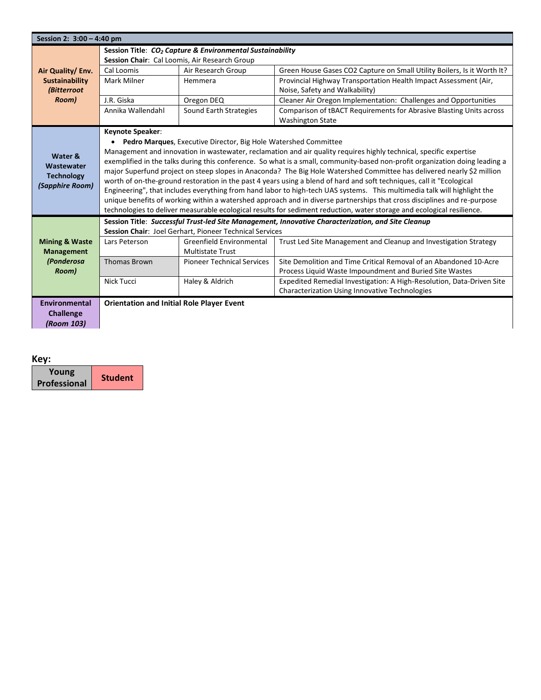| Session 2: 3:00 - 4:40 pm                                                                                              |                                                                                                                        |                                                                 |                                                                                                                              |  |
|------------------------------------------------------------------------------------------------------------------------|------------------------------------------------------------------------------------------------------------------------|-----------------------------------------------------------------|------------------------------------------------------------------------------------------------------------------------------|--|
|                                                                                                                        | Session Title: CO <sub>2</sub> Capture & Environmental Sustainability<br>Session Chair: Cal Loomis, Air Research Group |                                                                 |                                                                                                                              |  |
| Air Quality/ Env.                                                                                                      | Cal Loomis                                                                                                             | Air Research Group                                              | Green House Gases CO2 Capture on Small Utility Boilers, Is it Worth It?                                                      |  |
| Sustainability                                                                                                         | Mark Milner                                                                                                            | Hemmera                                                         | Provincial Highway Transportation Health Impact Assessment (Air,                                                             |  |
| (Bitterroot                                                                                                            |                                                                                                                        |                                                                 | Noise, Safety and Walkability)                                                                                               |  |
| Room)                                                                                                                  | J.R. Giska                                                                                                             | Oregon DEQ                                                      | Cleaner Air Oregon Implementation: Challenges and Opportunities                                                              |  |
|                                                                                                                        | Annika Wallendahl                                                                                                      | Sound Earth Strategies                                          | Comparison of tBACT Requirements for Abrasive Blasting Units across                                                          |  |
|                                                                                                                        |                                                                                                                        |                                                                 | <b>Washington State</b>                                                                                                      |  |
|                                                                                                                        | <b>Keynote Speaker:</b>                                                                                                |                                                                 |                                                                                                                              |  |
|                                                                                                                        | $\bullet$                                                                                                              | Pedro Marques, Executive Director, Big Hole Watershed Committee |                                                                                                                              |  |
| Water &                                                                                                                |                                                                                                                        |                                                                 | Management and innovation in wastewater, reclamation and air quality requires highly technical, specific expertise           |  |
| Wastewater                                                                                                             |                                                                                                                        |                                                                 | exemplified in the talks during this conference. So what is a small, community-based non-profit organization doing leading a |  |
| <b>Technology</b>                                                                                                      |                                                                                                                        |                                                                 | major Superfund project on steep slopes in Anaconda? The Big Hole Watershed Committee has delivered nearly \$2 million       |  |
| (Sapphire Room)                                                                                                        |                                                                                                                        |                                                                 | worth of on-the-ground restoration in the past 4 years using a blend of hard and soft techniques, call it "Ecological        |  |
|                                                                                                                        |                                                                                                                        |                                                                 | Engineering", that includes everything from hand labor to high-tech UAS systems. This multimedia talk will highlight the     |  |
|                                                                                                                        |                                                                                                                        |                                                                 | unique benefits of working within a watershed approach and in diverse partnerships that cross disciplines and re-purpose     |  |
| technologies to deliver measurable ecological results for sediment reduction, water storage and ecological resilience. |                                                                                                                        |                                                                 |                                                                                                                              |  |
|                                                                                                                        | Session Title: Successful Trust-led Site Management, Innovative Characterization, and Site Cleanup                     |                                                                 |                                                                                                                              |  |
|                                                                                                                        |                                                                                                                        | Session Chair: Joel Gerhart, Pioneer Technical Services         |                                                                                                                              |  |
| <b>Mining &amp; Waste</b>                                                                                              | Lars Peterson                                                                                                          | <b>Greenfield Environmental</b>                                 | Trust Led Site Management and Cleanup and Investigation Strategy                                                             |  |
| <b>Management</b>                                                                                                      |                                                                                                                        | <b>Multistate Trust</b>                                         |                                                                                                                              |  |
| (Ponderosa                                                                                                             | <b>Thomas Brown</b>                                                                                                    | <b>Pioneer Technical Services</b>                               | Site Demolition and Time Critical Removal of an Abandoned 10-Acre                                                            |  |
| Room)                                                                                                                  |                                                                                                                        |                                                                 | Process Liquid Waste Impoundment and Buried Site Wastes                                                                      |  |
|                                                                                                                        | Nick Tucci                                                                                                             | Haley & Aldrich                                                 | Expedited Remedial Investigation: A High-Resolution, Data-Driven Site                                                        |  |
|                                                                                                                        |                                                                                                                        |                                                                 | Characterization Using Innovative Technologies                                                                               |  |
| <b>Environmental</b>                                                                                                   | <b>Orientation and Initial Role Player Event</b>                                                                       |                                                                 |                                                                                                                              |  |
| <b>Challenge</b>                                                                                                       |                                                                                                                        |                                                                 |                                                                                                                              |  |
| (Room 103)                                                                                                             |                                                                                                                        |                                                                 |                                                                                                                              |  |

#### **Key:**

| Young               |                |
|---------------------|----------------|
| <b>Professional</b> | <b>Student</b> |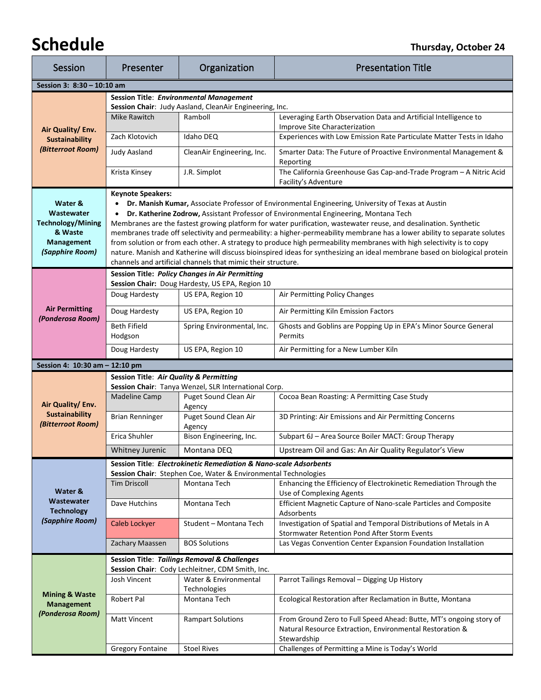## **Schedule Thursday, October 24**

| Session                                                           | Presenter                                        | Organization                                                                                       | <b>Presentation Title</b>                                                                                                                                                                                                                    |  |
|-------------------------------------------------------------------|--------------------------------------------------|----------------------------------------------------------------------------------------------------|----------------------------------------------------------------------------------------------------------------------------------------------------------------------------------------------------------------------------------------------|--|
| Session 3: 8:30 - 10:10 am                                        |                                                  |                                                                                                    |                                                                                                                                                                                                                                              |  |
|                                                                   |                                                  | <b>Session Title: Environmental Management</b>                                                     |                                                                                                                                                                                                                                              |  |
|                                                                   |                                                  | Session Chair: Judy Aasland, CleanAir Engineering, Inc.                                            |                                                                                                                                                                                                                                              |  |
|                                                                   | Mike Rawitch                                     | Ramboll                                                                                            | Leveraging Earth Observation Data and Artificial Intelligence to<br>Improve Site Characterization                                                                                                                                            |  |
| Air Quality/ Env.<br><b>Sustainability</b>                        | Zach Klotovich                                   | Idaho DEQ                                                                                          | Experiences with Low Emission Rate Particulate Matter Tests in Idaho                                                                                                                                                                         |  |
| (Bitterroot Room)                                                 | <b>Judy Aasland</b>                              | CleanAir Engineering, Inc.                                                                         | Smarter Data: The Future of Proactive Environmental Management &                                                                                                                                                                             |  |
|                                                                   |                                                  |                                                                                                    | Reporting                                                                                                                                                                                                                                    |  |
|                                                                   | Krista Kinsey                                    | J.R. Simplot                                                                                       | The California Greenhouse Gas Cap-and-Trade Program - A Nitric Acid<br>Facility's Adventure                                                                                                                                                  |  |
|                                                                   | <b>Keynote Speakers:</b>                         |                                                                                                    |                                                                                                                                                                                                                                              |  |
| Water &                                                           |                                                  |                                                                                                    | Dr. Manish Kumar, Associate Professor of Environmental Engineering, University of Texas at Austin                                                                                                                                            |  |
| Wastewater                                                        |                                                  |                                                                                                    | Dr. Katherine Zodrow, Assistant Professor of Environmental Engineering, Montana Tech                                                                                                                                                         |  |
| <b>Technology/Mining</b><br>& Waste                               |                                                  |                                                                                                    | Membranes are the fastest growing platform for water purification, wastewater reuse, and desalination. Synthetic<br>membranes trade off selectivity and permeability: a higher-permeability membrane has a lower ability to separate solutes |  |
| <b>Management</b>                                                 |                                                  |                                                                                                    | from solution or from each other. A strategy to produce high permeability membranes with high selectivity is to copy                                                                                                                         |  |
| (Sapphire Room)                                                   |                                                  |                                                                                                    | nature. Manish and Katherine will discuss bioinspired ideas for synthesizing an ideal membrane based on biological protein                                                                                                                   |  |
|                                                                   |                                                  | channels and artificial channels that mimic their structure.                                       |                                                                                                                                                                                                                                              |  |
|                                                                   |                                                  | Session Title: Policy Changes in Air Permitting<br>Session Chair: Doug Hardesty, US EPA, Region 10 |                                                                                                                                                                                                                                              |  |
|                                                                   | Doug Hardesty                                    | US EPA, Region 10                                                                                  | Air Permitting Policy Changes                                                                                                                                                                                                                |  |
| <b>Air Permitting</b>                                             | Doug Hardesty                                    | US EPA, Region 10                                                                                  | Air Permitting Kiln Emission Factors                                                                                                                                                                                                         |  |
| (Ponderosa Room)                                                  | <b>Beth Fifield</b>                              | Spring Environmental, Inc.                                                                         | Ghosts and Goblins are Popping Up in EPA's Minor Source General                                                                                                                                                                              |  |
|                                                                   | Hodgson                                          |                                                                                                    | Permits                                                                                                                                                                                                                                      |  |
|                                                                   | Doug Hardesty                                    | US EPA, Region 10                                                                                  | Air Permitting for a New Lumber Kiln                                                                                                                                                                                                         |  |
| Session 4: 10:30 am - 12:10 pm                                    |                                                  |                                                                                                    |                                                                                                                                                                                                                                              |  |
|                                                                   | Session Title: Air Quality & Permitting          |                                                                                                    |                                                                                                                                                                                                                                              |  |
|                                                                   | <b>Madeline Camp</b>                             | Session Chair: Tanya Wenzel, SLR International Corp.<br>Puget Sound Clean Air                      | Cocoa Bean Roasting: A Permitting Case Study                                                                                                                                                                                                 |  |
| Air Quality/ Env.                                                 |                                                  | Agency                                                                                             |                                                                                                                                                                                                                                              |  |
| <b>Sustainability</b><br>(Bitterroot Room)                        | <b>Brian Renninger</b>                           | Puget Sound Clean Air<br>Agency                                                                    | 3D Printing: Air Emissions and Air Permitting Concerns                                                                                                                                                                                       |  |
|                                                                   | Erica Shuhler                                    | Bison Engineering, Inc.                                                                            | Subpart 6J - Area Source Boiler MACT: Group Therapy                                                                                                                                                                                          |  |
|                                                                   | Whitney Jurenic                                  | Montana DEO                                                                                        | Upstream Oil and Gas: An Air Quality Regulator's View                                                                                                                                                                                        |  |
| Session Title: Electrokinetic Remediation & Nano-scale Adsorbents |                                                  |                                                                                                    |                                                                                                                                                                                                                                              |  |
|                                                                   | <b>Tim Driscoll</b>                              | Session Chair: Stephen Coe, Water & Environmental Technologies<br>Montana Tech                     | Enhancing the Efficiency of Electrokinetic Remediation Through the                                                                                                                                                                           |  |
| Water &                                                           |                                                  |                                                                                                    | Use of Complexing Agents                                                                                                                                                                                                                     |  |
| Wastewater<br><b>Technology</b><br>(Sapphire Room)                | Dave Hutchins                                    | Montana Tech                                                                                       | Efficient Magnetic Capture of Nano-scale Particles and Composite<br>Adsorbents                                                                                                                                                               |  |
|                                                                   | Caleb Lockyer                                    | Student - Montana Tech                                                                             | Investigation of Spatial and Temporal Distributions of Metals in A<br>Stormwater Retention Pond After Storm Events                                                                                                                           |  |
|                                                                   | Zachary Maassen                                  | <b>BOS Solutions</b>                                                                               | Las Vegas Convention Center Expansion Foundation Installation                                                                                                                                                                                |  |
|                                                                   |                                                  | <b>Session Title: Tailings Removal &amp; Challenges</b>                                            |                                                                                                                                                                                                                                              |  |
|                                                                   | Session Chair: Cody Lechleitner, CDM Smith, Inc. |                                                                                                    |                                                                                                                                                                                                                                              |  |
|                                                                   | Josh Vincent                                     | Water & Environmental                                                                              | Parrot Tailings Removal - Digging Up History                                                                                                                                                                                                 |  |
| <b>Mining &amp; Waste</b><br><b>Management</b>                    |                                                  | Technologies<br>Montana Tech                                                                       | Ecological Restoration after Reclamation in Butte, Montana                                                                                                                                                                                   |  |
| (Ponderosa Room)                                                  | Robert Pal                                       |                                                                                                    |                                                                                                                                                                                                                                              |  |
|                                                                   |                                                  |                                                                                                    |                                                                                                                                                                                                                                              |  |
|                                                                   | <b>Matt Vincent</b>                              | <b>Rampart Solutions</b>                                                                           | From Ground Zero to Full Speed Ahead: Butte, MT's ongoing story of                                                                                                                                                                           |  |
|                                                                   |                                                  |                                                                                                    | Natural Resource Extraction, Environmental Restoration &<br>Stewardship                                                                                                                                                                      |  |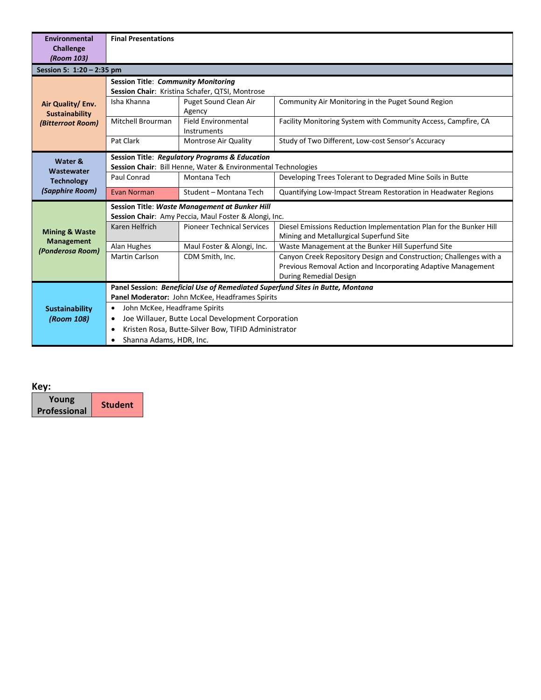| Environmental<br><b>Challenge</b><br>(Room 103)                                                                                       | <b>Final Presentations</b>                                       |                                                                                                         |                                                                                                                                                               |
|---------------------------------------------------------------------------------------------------------------------------------------|------------------------------------------------------------------|---------------------------------------------------------------------------------------------------------|---------------------------------------------------------------------------------------------------------------------------------------------------------------|
| Session 5: 1:20 - 2:35 pm                                                                                                             |                                                                  |                                                                                                         |                                                                                                                                                               |
|                                                                                                                                       | <b>Session Title: Community Monitoring</b>                       | Session Chair: Kristina Schafer, QTSI, Montrose                                                         |                                                                                                                                                               |
| Air Quality/ Env.<br><b>Sustainability</b>                                                                                            | Isha Khanna                                                      | Puget Sound Clean Air<br>Agency                                                                         | Community Air Monitoring in the Puget Sound Region                                                                                                            |
| (Bitterroot Room)                                                                                                                     | <b>Mitchell Brourman</b>                                         | <b>Field Environmental</b><br>Instruments                                                               | Facility Monitoring System with Community Access, Campfire, CA                                                                                                |
|                                                                                                                                       | Pat Clark                                                        | Montrose Air Quality                                                                                    | Study of Two Different, Low-cost Sensor's Accuracy                                                                                                            |
| <b>Session Title: Regulatory Programs &amp; Education</b><br>Water &<br>Session Chair: Bill Henne, Water & Environmental Technologies |                                                                  |                                                                                                         |                                                                                                                                                               |
| Wastewater<br><b>Technology</b>                                                                                                       | Paul Conrad                                                      | Montana Tech                                                                                            | Developing Trees Tolerant to Degraded Mine Soils in Butte                                                                                                     |
| (Sapphire Room)                                                                                                                       | Evan Norman                                                      | Student - Montana Tech                                                                                  | Quantifying Low-Impact Stream Restoration in Headwater Regions                                                                                                |
|                                                                                                                                       |                                                                  | Session Title: Waste Management at Bunker Hill<br>Session Chair: Amy Peccia, Maul Foster & Alongi, Inc. |                                                                                                                                                               |
| <b>Mining &amp; Waste</b>                                                                                                             | Karen Helfrich                                                   | <b>Pioneer Technical Services</b>                                                                       | Diesel Emissions Reduction Implementation Plan for the Bunker Hill<br>Mining and Metallurgical Superfund Site                                                 |
| <b>Management</b><br>(Ponderosa Room)                                                                                                 | Alan Hughes                                                      | Maul Foster & Alongi, Inc.                                                                              | Waste Management at the Bunker Hill Superfund Site                                                                                                            |
|                                                                                                                                       | <b>Martin Carlson</b>                                            | CDM Smith, Inc.                                                                                         | Canyon Creek Repository Design and Construction; Challenges with a<br>Previous Removal Action and Incorporating Adaptive Management<br>During Remedial Design |
| Panel Session: Beneficial Use of Remediated Superfund Sites in Butte, Montana                                                         |                                                                  |                                                                                                         |                                                                                                                                                               |
|                                                                                                                                       | Panel Moderator: John McKee, Headframes Spirits                  |                                                                                                         |                                                                                                                                                               |
| <b>Sustainability</b>                                                                                                                 | John McKee, Headframe Spirits<br>$\bullet$                       |                                                                                                         |                                                                                                                                                               |
| (Room 108)                                                                                                                            | Joe Willauer, Butte Local Development Corporation<br>٠           |                                                                                                         |                                                                                                                                                               |
|                                                                                                                                       | Kristen Rosa, Butte-Silver Bow, TIFID Administrator<br>$\bullet$ |                                                                                                         |                                                                                                                                                               |
|                                                                                                                                       | Shanna Adams, HDR, Inc.                                          |                                                                                                         |                                                                                                                                                               |

| ۰.<br>× |  |
|---------|--|
|         |  |

| Young               | <b>Student</b> |
|---------------------|----------------|
| <b>Professional</b> |                |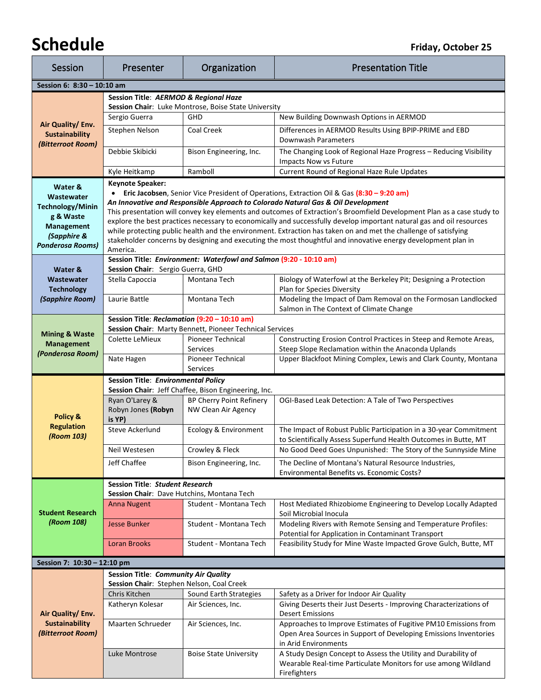## **Schedule Finally Schedule** *Friday, October 25*

| Session                                                                                                                      | Presenter                                                                                                                                                                                                                                                                                                                                                                                                                                                                                                                                                                                                                                                                                                           | Organization                                                                            | <b>Presentation Title</b>                                                                                                                        |  |
|------------------------------------------------------------------------------------------------------------------------------|---------------------------------------------------------------------------------------------------------------------------------------------------------------------------------------------------------------------------------------------------------------------------------------------------------------------------------------------------------------------------------------------------------------------------------------------------------------------------------------------------------------------------------------------------------------------------------------------------------------------------------------------------------------------------------------------------------------------|-----------------------------------------------------------------------------------------|--------------------------------------------------------------------------------------------------------------------------------------------------|--|
| Session 6: 8:30 - 10:10 am                                                                                                   |                                                                                                                                                                                                                                                                                                                                                                                                                                                                                                                                                                                                                                                                                                                     |                                                                                         |                                                                                                                                                  |  |
|                                                                                                                              | Session Title: AERMOD & Regional Haze<br>Session Chair: Luke Montrose, Boise State University                                                                                                                                                                                                                                                                                                                                                                                                                                                                                                                                                                                                                       |                                                                                         |                                                                                                                                                  |  |
| Air Quality/ Env.<br><b>Sustainability</b><br>(Bitterroot Room)                                                              | Sergio Guerra                                                                                                                                                                                                                                                                                                                                                                                                                                                                                                                                                                                                                                                                                                       | <b>GHD</b>                                                                              | New Building Downwash Options in AERMOD                                                                                                          |  |
|                                                                                                                              | Stephen Nelson                                                                                                                                                                                                                                                                                                                                                                                                                                                                                                                                                                                                                                                                                                      | Coal Creek                                                                              | Differences in AERMOD Results Using BPIP-PRIME and EBD<br>Downwash Parameters                                                                    |  |
|                                                                                                                              | Debbie Skibicki                                                                                                                                                                                                                                                                                                                                                                                                                                                                                                                                                                                                                                                                                                     | Bison Engineering, Inc.                                                                 | The Changing Look of Regional Haze Progress - Reducing Visibility<br>Impacts Now vs Future                                                       |  |
|                                                                                                                              | Kyle Heitkamp                                                                                                                                                                                                                                                                                                                                                                                                                                                                                                                                                                                                                                                                                                       | Ramboll                                                                                 | Current Round of Regional Haze Rule Updates                                                                                                      |  |
| Water &<br>Wastewater<br><b>Technology/Minin</b><br>g & Waste<br><b>Management</b><br>(Sapphire &<br><b>Ponderosa Rooms)</b> | <b>Keynote Speaker:</b><br><b>Eric Jacobsen</b> , Senior Vice President of Operations, Extraction Oil & Gas (8:30 - 9:20 am)<br>An Innovative and Responsible Approach to Colorado Natural Gas & Oil Development<br>This presentation will convey key elements and outcomes of Extraction's Broomfield Development Plan as a case study to<br>explore the best practices necessary to economically and successfully develop important natural gas and oil resources<br>while protecting public health and the environment. Extraction has taken on and met the challenge of satisfying<br>stakeholder concerns by designing and executing the most thoughtful and innovative energy development plan in<br>America. |                                                                                         |                                                                                                                                                  |  |
|                                                                                                                              | Session Chair: Sergio Guerra, GHD                                                                                                                                                                                                                                                                                                                                                                                                                                                                                                                                                                                                                                                                                   | Session Title: Environment: Waterfowl and Salmon (9:20 - 10:10 am)                      |                                                                                                                                                  |  |
| Water &<br>Wastewater                                                                                                        | Stella Capoccia                                                                                                                                                                                                                                                                                                                                                                                                                                                                                                                                                                                                                                                                                                     | Montana Tech                                                                            | Biology of Waterfowl at the Berkeley Pit; Designing a Protection                                                                                 |  |
| <b>Technology</b>                                                                                                            |                                                                                                                                                                                                                                                                                                                                                                                                                                                                                                                                                                                                                                                                                                                     |                                                                                         | Plan for Species Diversity                                                                                                                       |  |
| (Sapphire Room)                                                                                                              | Laurie Battle                                                                                                                                                                                                                                                                                                                                                                                                                                                                                                                                                                                                                                                                                                       | Montana Tech                                                                            | Modeling the Impact of Dam Removal on the Formosan Landlocked<br>Salmon in The Context of Climate Change                                         |  |
|                                                                                                                              | Session Title: Reclamation (9:20 - 10:10 am)                                                                                                                                                                                                                                                                                                                                                                                                                                                                                                                                                                                                                                                                        | Session Chair: Marty Bennett, Pioneer Technical Services                                |                                                                                                                                                  |  |
| <b>Mining &amp; Waste</b>                                                                                                    | Colette LeMieux                                                                                                                                                                                                                                                                                                                                                                                                                                                                                                                                                                                                                                                                                                     | <b>Pioneer Technical</b>                                                                | Constructing Erosion Control Practices in Steep and Remote Areas,                                                                                |  |
| <b>Management</b><br>(Ponderosa Room)                                                                                        |                                                                                                                                                                                                                                                                                                                                                                                                                                                                                                                                                                                                                                                                                                                     | Services                                                                                | Steep Slope Reclamation within the Anaconda Uplands                                                                                              |  |
|                                                                                                                              | Nate Hagen                                                                                                                                                                                                                                                                                                                                                                                                                                                                                                                                                                                                                                                                                                          | Pioneer Technical<br>Services                                                           | Upper Blackfoot Mining Complex, Lewis and Clark County, Montana                                                                                  |  |
|                                                                                                                              | <b>Session Title: Environmental Policy</b>                                                                                                                                                                                                                                                                                                                                                                                                                                                                                                                                                                                                                                                                          |                                                                                         |                                                                                                                                                  |  |
|                                                                                                                              | Ryan O'Larey &                                                                                                                                                                                                                                                                                                                                                                                                                                                                                                                                                                                                                                                                                                      | Session Chair: Jeff Chaffee, Bison Engineering, Inc.<br><b>BP Cherry Point Refinery</b> | OGI-Based Leak Detection: A Tale of Two Perspectives                                                                                             |  |
| Policy &                                                                                                                     | Robyn Jones (Robyn<br>is YP)                                                                                                                                                                                                                                                                                                                                                                                                                                                                                                                                                                                                                                                                                        | NW Clean Air Agency                                                                     |                                                                                                                                                  |  |
| <b>Regulation</b><br>(Room 103)                                                                                              | Steve Ackerlund                                                                                                                                                                                                                                                                                                                                                                                                                                                                                                                                                                                                                                                                                                     | Ecology & Environment                                                                   | The Impact of Robust Public Participation in a 30-year Commitment<br>to Scientifically Assess Superfund Health Outcomes in Butte, MT             |  |
|                                                                                                                              | Neil Westesen                                                                                                                                                                                                                                                                                                                                                                                                                                                                                                                                                                                                                                                                                                       | Crowley & Fleck                                                                         | No Good Deed Goes Unpunished: The Story of the Sunnyside Mine                                                                                    |  |
|                                                                                                                              | Jeff Chaffee                                                                                                                                                                                                                                                                                                                                                                                                                                                                                                                                                                                                                                                                                                        | Bison Engineering, Inc.                                                                 | The Decline of Montana's Natural Resource Industries,<br>Environmental Benefits vs. Economic Costs?                                              |  |
|                                                                                                                              | <b>Session Title: Student Research</b>                                                                                                                                                                                                                                                                                                                                                                                                                                                                                                                                                                                                                                                                              |                                                                                         |                                                                                                                                                  |  |
|                                                                                                                              | Session Chair: Dave Hutchins, Montana Tech<br><b>Anna Nugent</b>                                                                                                                                                                                                                                                                                                                                                                                                                                                                                                                                                                                                                                                    | Student - Montana Tech                                                                  | Host Mediated Rhizobiome Engineering to Develop Locally Adapted                                                                                  |  |
| <b>Student Research</b><br>(Room 108)                                                                                        |                                                                                                                                                                                                                                                                                                                                                                                                                                                                                                                                                                                                                                                                                                                     |                                                                                         | Soil Microbial Inocula                                                                                                                           |  |
|                                                                                                                              | <b>Jesse Bunker</b>                                                                                                                                                                                                                                                                                                                                                                                                                                                                                                                                                                                                                                                                                                 | Student - Montana Tech                                                                  | Modeling Rivers with Remote Sensing and Temperature Profiles:<br>Potential for Application in Contaminant Transport                              |  |
|                                                                                                                              | <b>Loran Brooks</b>                                                                                                                                                                                                                                                                                                                                                                                                                                                                                                                                                                                                                                                                                                 | Student - Montana Tech                                                                  | Feasibility Study for Mine Waste Impacted Grove Gulch, Butte, MT                                                                                 |  |
| Session 7: 10:30 - 12:10 pm                                                                                                  |                                                                                                                                                                                                                                                                                                                                                                                                                                                                                                                                                                                                                                                                                                                     |                                                                                         |                                                                                                                                                  |  |
| Session Title: Community Air Quality                                                                                         |                                                                                                                                                                                                                                                                                                                                                                                                                                                                                                                                                                                                                                                                                                                     |                                                                                         |                                                                                                                                                  |  |
|                                                                                                                              | Session Chair: Stephen Nelson, Coal Creek<br>Chris Kitchen                                                                                                                                                                                                                                                                                                                                                                                                                                                                                                                                                                                                                                                          | Sound Earth Strategies                                                                  | Safety as a Driver for Indoor Air Quality                                                                                                        |  |
|                                                                                                                              | Katheryn Kolesar                                                                                                                                                                                                                                                                                                                                                                                                                                                                                                                                                                                                                                                                                                    | Air Sciences, Inc.                                                                      | Giving Deserts their Just Deserts - Improving Characterizations of                                                                               |  |
| Air Quality/ Env.<br><b>Sustainability</b>                                                                                   | Maarten Schrueder                                                                                                                                                                                                                                                                                                                                                                                                                                                                                                                                                                                                                                                                                                   | Air Sciences, Inc.                                                                      | <b>Desert Emissions</b><br>Approaches to Improve Estimates of Fugitive PM10 Emissions from                                                       |  |
| (Bitterroot Room)                                                                                                            |                                                                                                                                                                                                                                                                                                                                                                                                                                                                                                                                                                                                                                                                                                                     |                                                                                         | Open Area Sources in Support of Developing Emissions Inventories<br>in Arid Environments                                                         |  |
|                                                                                                                              | Luke Montrose                                                                                                                                                                                                                                                                                                                                                                                                                                                                                                                                                                                                                                                                                                       | <b>Boise State University</b>                                                           | A Study Design Concept to Assess the Utility and Durability of<br>Wearable Real-time Particulate Monitors for use among Wildland<br>Firefighters |  |